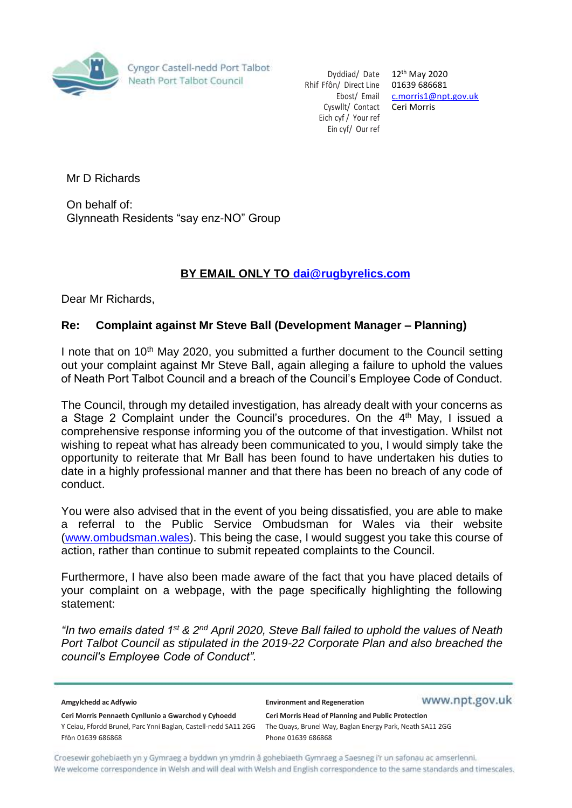

Cyngor Castell-nedd Port Talbot Neath Port Talbot Council

Dyddiad/ Date 12<sup>th</sup> May 2020 Rhif Ffôn/ Direct Line 01639 686681 Ebost/ Email [c.morris1@npt.gov.uk](mailto:c.morris1@npt.gov.uk) Cyswllt/ Contact Ceri Morris Eich cyf / Your ref Ein cyf/ Our ref

Mr D Richards

On behalf of: Glynneath Residents "say enz-NO" Group

## **BY EMAIL ONLY TO [dai@r](mailto:dai@)ugbyrelics.com**

Dear Mr Richards,

## **Re: Complaint against Mr Steve Ball (Development Manager – Planning)**

I note that on  $10<sup>th</sup>$  May 2020, you submitted a further document to the Council setting out your complaint against Mr Steve Ball, again alleging a failure to uphold the values of Neath Port Talbot Council and a breach of the Council's Employee Code of Conduct.

The Council, through my detailed investigation, has already dealt with your concerns as a Stage 2 Complaint under the Council's procedures. On the  $4<sup>th</sup>$  May, I issued a comprehensive response informing you of the outcome of that investigation. Whilst not wishing to repeat what has already been communicated to you, I would simply take the opportunity to reiterate that Mr Ball has been found to have undertaken his duties to date in a highly professional manner and that there has been no breach of any code of conduct.

You were also advised that in the event of you being dissatisfied, you are able to make a referral to the Public Service Ombudsman for Wales via their website [\(www.ombudsman.wales\)](http://www.ombudsman.wales/). This being the case, I would suggest you take this course of action, rather than continue to submit repeated complaints to the Council.

Furthermore, I have also been made aware of the fact that you have placed details of your complaint on a webpage, with the page specifically highlighting the following statement:

*"In two emails dated 1st & 2nd April 2020, Steve Ball failed to uphold the values of Neath Port Talbot Council as stipulated in the 2019-22 Corporate Plan and also breached the council's Employee Code of Conduct".*

| Amgylchedd ac Adfywio                                                                | <b>Environment and Regeneration</b>                                             | www.npt.gov.uk |
|--------------------------------------------------------------------------------------|---------------------------------------------------------------------------------|----------------|
| Ceri Morris Pennaeth Cynllunio a Gwarchod y Cyhoedd                                  | Ceri Morris Head of Planning and Public Protection                              |                |
| Y Ceiau, Ffordd Brunel, Parc Ynni Baglan, Castell-nedd SA11 2GG<br>Ffôn 01639 686868 | The Quays, Brunel Way, Baglan Energy Park, Neath SA11 2GG<br>Phone 01639 686868 |                |

Croesewir gohebiaeth yn y Gymraeg a byddwn yn ymdrin â gohebiaeth Gymraeg a Saesneg i'r un safonau ac amserlenni. We welcome correspondence in Welsh and will deal with Welsh and English correspondence to the same standards and timescales.